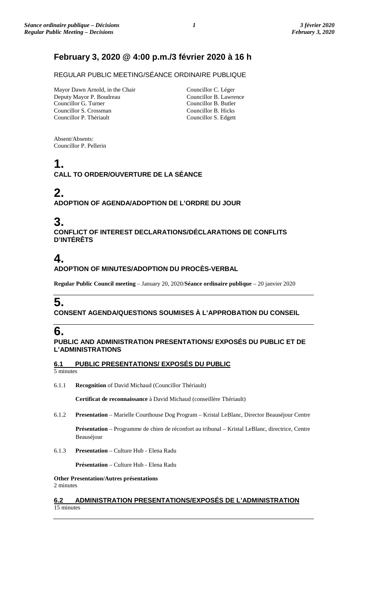# **February 3, 2020 @ 4:00 p.m./3 février 2020 à 16 h**

REGULAR PUBLIC MEETING/SÉANCE ORDINAIRE PUBLIQUE

Mayor Dawn Arnold, in the Chair Deputy Mayor P. Boudreau Councillor G. Turner Councillor S. Crossman Councillor P. Thériault

Councillor C. Léger Councillor B. Lawrence Councillor B. Butler Councillor B. Hicks Councillor S. Edgett

Absent/Absents: Councillor P. Pellerin

# **1.**

**CALL TO ORDER/OUVERTURE DE LA SÉANCE**

### **2. ADOPTION OF AGENDA/ADOPTION DE L'ORDRE DU JOUR**

# **3.**

**CONFLICT OF INTEREST DECLARATIONS/DÉCLARATIONS DE CONFLITS D'INTÉRÊTS**

# **4.**

**ADOPTION OF MINUTES/ADOPTION DU PROCÈS-VERBAL**

**Regular Public Council meeting** – January 20, 2020/**Séance ordinaire publique** – 20 janvier 2020

# **5.**

## **CONSENT AGENDA/QUESTIONS SOUMISES À L'APPROBATION DU CONSEIL**

# **6.**

### **PUBLIC AND ADMINISTRATION PRESENTATIONS/ EXPOSÉS DU PUBLIC ET DE L'ADMINISTRATIONS**

**6.1 PUBLIC PRESENTATIONS/ EXPOSÉS DU PUBLIC**

5 minutes

6.1.1 **Recognition** of David Michaud (Councillor Thériault)

**Certificat de reconnaissance** à David Michaud (conseillère Thériault)

6.1.2 **Presentation** – Marielle Courthouse Dog Program – Kristal LeBlanc, Director Beauséjour Centre

**Présentation** – Programme de chien de réconfort au tribunal – Kristal LeBlanc, directrice, Centre Beauséjour

6.1.3 **Presentation** – Culture Hub - Elena Radu

**Présentation** – Culture Hub - Elena Radu

**Other Presentation/Autres présentations** 2 minutes

### **6.2 ADMINISTRATION PRESENTATIONS/EXPOSÉS DE L'ADMINISTRATION** 15 minutes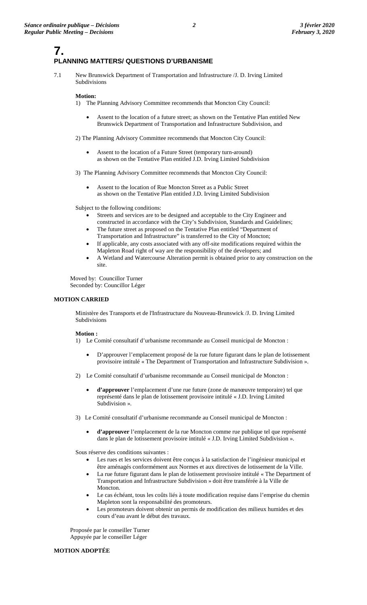### **7. PLANNING MATTERS/ QUESTIONS D'URBANISME**

7.1 New Brunswick Department of Transportation and Infrastructure /J. D. Irving Limited Subdivisions

### **Motion:**

- 1) The Planning Advisory Committee recommends that Moncton City Council:
	- Assent to the location of a future street; as shown on the Tentative Plan entitled New Brunswick Department of Transportation and Infrastructure Subdivision, and
- 2) The Planning Advisory Committee recommends that Moncton City Council:
	- Assent to the location of a Future Street (temporary turn-around) as shown on the Tentative Plan entitled J.D. Irving Limited Subdivision
- 3) The Planning Advisory Committee recommends that Moncton City Council:
	- Assent to the location of Rue Moncton Street as a Public Street as shown on the Tentative Plan entitled J.D. Irving Limited Subdivision

Subject to the following conditions:

- Streets and services are to be designed and acceptable to the City Engineer and constructed in accordance with the City's Subdivision, Standards and Guidelines;
- The future street as proposed on the Tentative Plan entitled "Department of Transportation and Infrastructure" is transferred to the City of Moncton;
- If applicable, any costs associated with any off-site modifications required within the Mapleton Road right of way are the responsibility of the developers; and
- A Wetland and Watercourse Alteration permit is obtained prior to any construction on the site.

Moved by: Councillor Turner Seconded by: Councillor Léger

### **MOTION CARRIED**

Ministère des Transports et de l'Infrastructure du Nouveau-Brunswick /J. D. Irving Limited Subdivisions

#### **Motion :**

- 1) Le Comité consultatif d'urbanisme recommande au Conseil municipal de Moncton :
	- D'approuver l'emplacement proposé de la rue future figurant dans le plan de lotissement provisoire intitulé « The Department of Transportation and Infrastructure Subdivision ».
- 2) Le Comité consultatif d'urbanisme recommande au Conseil municipal de Moncton :
	- **d'approuver** l'emplacement d'une rue future (zone de manœuvre temporaire) tel que représenté dans le plan de lotissement provisoire intitulé « J.D. Irving Limited Subdivision ».
- 3) Le Comité consultatif d'urbanisme recommande au Conseil municipal de Moncton :
	- **d'approuver** l'emplacement de la rue Moncton comme rue publique tel que représenté dans le plan de lotissement provisoire intitulé « J.D. Irving Limited Subdivision ».

Sous réserve des conditions suivantes :

- Les rues et les services doivent être conçus à la satisfaction de l'ingénieur municipal et être aménagés conformément aux Normes et aux directives de lotissement de la Ville.
- La rue future figurant dans le plan de lotissement provisoire intitulé « The Department of Transportation and Infrastructure Subdivision » doit être transférée à la Ville de Moncton.
- Le cas échéant, tous les coûts liés à toute modification requise dans l'emprise du chemin Mapleton sont la responsabilité des promoteurs.
- Les promoteurs doivent obtenir un permis de modification des milieux humides et des cours d'eau avant le début des travaux.

Proposée par le conseiller Turner Appuyée par le conseiller Léger

#### **MOTION ADOPTÉE**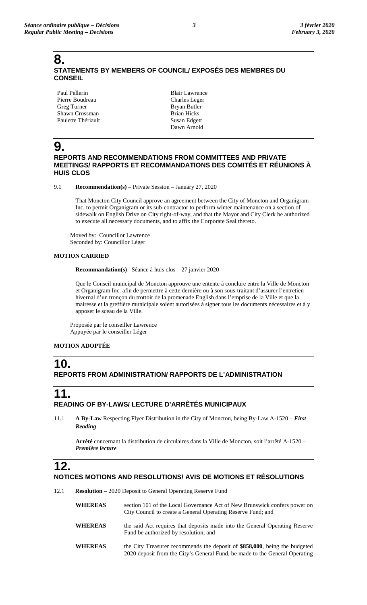## **8. STATEMENTS BY MEMBERS OF COUNCIL/ EXPOSÉS DES MEMBRES DU CONSEIL**

Paul Pellerin Pierre Boudreau Greg Turner Shawn Crossman Paulette Thériault

Blair Lawrence Charles Leger Bryan Butler Brian Hicks Susan Edgett Dawn Arnold

# **9.**

### **REPORTS AND RECOMMENDATIONS FROM COMMITTEES AND PRIVATE MEETINGS/ RAPPORTS ET RECOMMANDATIONS DES COMITÉS ET RÉUNIONS À HUIS CLOS**

9.1 **Recommendation(s)** – Private Session – January 27, 2020

That Moncton City Council approve an agreement between the City of Moncton and Organigram Inc. to permit Organigram or its sub-contractor to perform winter maintenance on a section of sidewalk on English Drive on City right-of-way, and that the Mayor and City Clerk be authorized to execute all necessary documents, and to affix the Corporate Seal thereto.

Moved by: Councillor Lawrence Seconded by: Councillor Léger

### **MOTION CARRIED**

**Recommandation(s)** –Séance à huis clos – 27 janvier 2020

Que le Conseil municipal de Moncton approuve une entente à conclure entre la Ville de Moncton et Organigram Inc. afin de permettre à cette dernière ou à son sous-traitant d'assurer l'entretien hivernal d'un tronçon du trottoir de la promenade English dans l'emprise de la Ville et que la mairesse et la greffière municipale soient autorisées à signer tous les documents nécessaires et à y apposer le sceau de la Ville.

Proposée par le conseiller Lawrence Appuyée par le conseiller Léger

### **MOTION ADOPTÉE**

## **10. REPORTS FROM ADMINISTRATION/ RAPPORTS DE L'ADMINISTRATION**

## **11. READING OF BY-LAWS/ LECTURE D'ARRÊTÉS MUNICIPAUX**

11.1 **A By-Law** Respecting Flyer Distribution in the City of Moncton, being By-Law A-1520 – *First Reading*

**Arrêté** concernant la distribution de circulaires dans la Ville de Moncton, soit l'arrêté A-1520 – *Première lecture*

# **12.**

## **NOTICES MOTIONS AND RESOLUTIONS/ AVIS DE MOTIONS ET RÉSOLUTIONS**

12.1 **Resolution** – 2020 Deposit to General Operating Reserve Fund

| <b>WHEREAS</b>  | section 101 of the Local Governance Act of New Brunswick confers power on<br>City Council to create a General Operating Reserve Fund; and |
|-----------------|-------------------------------------------------------------------------------------------------------------------------------------------|
| $- - - - - - -$ |                                                                                                                                           |

- WHEREAS the said Act requires that deposits made into the General Operating Reserve Fund be authorized by resolution; and
- **WHEREAS** the City Treasurer recommends the deposit of **\$858,000**, being the budgeted 2020 deposit from the City's General Fund, be made to the General Operating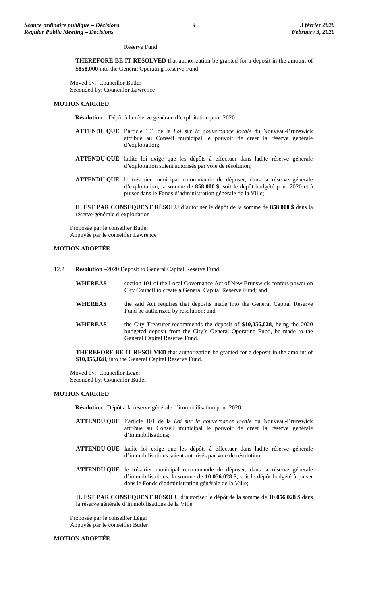#### Reserve Fund.

**THEREFORE BE IT RESOLVED** that authorization be granted for a deposit in the amount of **\$858,000** into the General Operating Reserve Fund.

Moved by: Councillor Butler Seconded by: Councillor Lawrence

#### **MOTION CARRIED**

**Résolution** – Dépôt à la réserve générale d'exploitation pour 2020

- **ATTENDU QUE** l'article 101 de la *Loi sur la gouvernance locale* du Nouveau-Brunswick attribue au Conseil municipal le pouvoir de créer la réserve générale d'exploitation;
- **ATTENDU QUE** ladite loi exige que les dépôts à effectuer dans ladite réserve générale d'exploitation soient autorisés par voie de résolution;
- **ATTENDU QUE** le trésorier municipal recommande de déposer, dans la réserve générale d'exploitation, la somme de **858 000 \$**, soit le dépôt budgété pour 2020 et à puiser dans le Fonds d'administration générale de la Ville;

**IL EST PAR CONSÉQUENT RÉSOLU** d'autoriser le dépôt de la somme de **858 000 \$** dans la réserve générale d'exploitation

Proposée par le conseiller Butler Appuyée par le conseiller Lawrence

### **MOTION ADOPTÉE**

- 12.2 **Resolution** –2020 Deposit to General Capital Reserve Fund
	- **WHEREAS** section 101 of the Local Governance Act of New Brunswick confers power on City Council to create a General Capital Reserve Fund; and **WHEREAS** the said Act requires that deposits made into the General Capital Reserve Fund be authorized by resolution; and
	- **WHEREAS** the City Treasurer recommends the deposit of **\$10,056,028**, being the 2020 budgeted deposit from the City's General Operating Fund, be made to the General Capital Reserve Fund.

**THEREFORE BE IT RESOLVED** that authorization be granted for a deposit in the amount of \$**10,056,028**, into the General Capital Reserve Fund.

Moved by: Councillor Léger Seconded by: Councillor Butler

#### **MOTION CARRIED**

**Résolution** –Dépôt à la réserve générale d'immobilisation pour 2020

- **ATTENDU QUE** l'article 101 de la *Loi sur la gouvernance locale* du Nouveau-Brunswick attribue au Conseil municipal le pouvoir de créer la réserve générale d'immobilisations;
- **ATTENDU QUE** ladite loi exige que les dépôts à effectuer dans ladite réserve générale d'immobilisations soient autorisés par voie de résolution;
- **ATTENDU QUE** le trésorier municipal recommande de déposer, dans la réserve générale d'immobilisations, la somme de **10 056 028 \$**, soit le dépôt budgété à puiser dans le Fonds d'administration générale de la Ville;

**IL EST PAR CONSÉQUENT RÉSOLU** d'autoriser le dépôt de la somme de **10 056 028 \$** dans la réserve générale d'immobilisations de la Ville.

Proposée par le conseiller Léger Appuyée par le conseiller Butler

### **MOTION ADOPTÉE**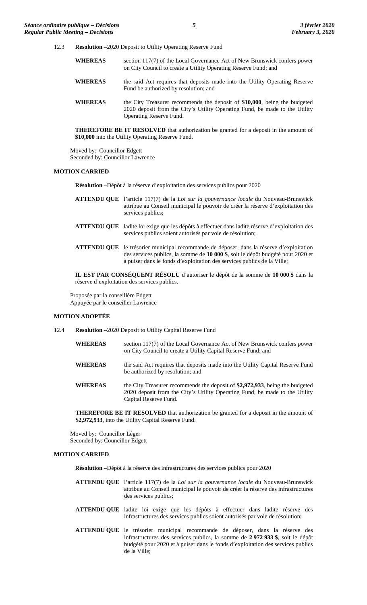- 12.3 **Resolution** –2020 Deposit to Utility Operating Reserve Fund
	- **WHEREAS** section 117(7) of the Local Governance Act of New Brunswick confers power on City Council to create a Utility Operating Reserve Fund; and
	- **WHEREAS** the said Act requires that deposits made into the Utility Operating Reserve Fund be authorized by resolution; and
	- **WHEREAS** the City Treasurer recommends the deposit of **\$10,000**, being the budgeted 2020 deposit from the City's Utility Operating Fund, be made to the Utility Operating Reserve Fund.

**THEREFORE BE IT RESOLVED** that authorization be granted for a deposit in the amount of **\$10,000** into the Utility Operating Reserve Fund.

Moved by: Councillor Edgett Seconded by: Councillor Lawrence

### **MOTION CARRIED**

**Résolution** –Dépôt à la réserve d'exploitation des services publics pour 2020

- **ATTENDU QUE** l'article 117(7) de la *Loi sur la gouvernance locale* du Nouveau-Brunswick attribue au Conseil municipal le pouvoir de créer la réserve d'exploitation des services publics;
- **ATTENDU QUE** ladite loi exige que les dépôts à effectuer dans ladite réserve d'exploitation des services publics soient autorisés par voie de résolution;
- **ATTENDU QUE** le trésorier municipal recommande de déposer, dans la réserve d'exploitation des services publics, la somme de **10 000 \$**, soit le dépôt budgété pour 2020 et à puiser dans le fonds d'exploitation des services publics de la Ville;

**IL EST PAR CONSÉQUENT RÉSOLU** d'autoriser le dépôt de la somme de **10 000 \$** dans la réserve d'exploitation des services publics.

Proposée par la conseillère Edgett Appuyée par le conseiller Lawrence

### **MOTION ADOPTÉE**

- 12.4 **Resolution** –2020 Deposit to Utility Capital Reserve Fund
	- **WHEREAS** section 117(7) of the Local Governance Act of New Brunswick confers power on City Council to create a Utility Capital Reserve Fund; and
	- **WHEREAS** the said Act requires that deposits made into the Utility Capital Reserve Fund be authorized by resolution; and
	- **WHEREAS** the City Treasurer recommends the deposit of **\$2,972,933**, being the budgeted 2020 deposit from the City's Utility Operating Fund, be made to the Utility Capital Reserve Fund.

**THEREFORE BE IT RESOLVED** that authorization be granted for a deposit in the amount of **\$2,972,933**, into the Utility Capital Reserve Fund.

Moved by: Councillor Léger Seconded by: Councillor Edgett

### **MOTION CARRIED**

**Résolution** –Dépôt à la réserve des infrastructures des services publics pour 2020

- **ATTENDU QUE** l'article 117(7) de la *Loi sur la gouvernance locale* du Nouveau-Brunswick attribue au Conseil municipal le pouvoir de créer la réserve des infrastructures des services publics;
- **ATTENDU QUE** ladite loi exige que les dépôts à effectuer dans ladite réserve des infrastructures des services publics soient autorisés par voie de résolution;
- **ATTENDU QUE** le trésorier municipal recommande de déposer, dans la réserve des infrastructures des services publics, la somme de **2 972 933 \$**, soit le dépôt budgété pour 2020 et à puiser dans le fonds d'exploitation des services publics de la Ville;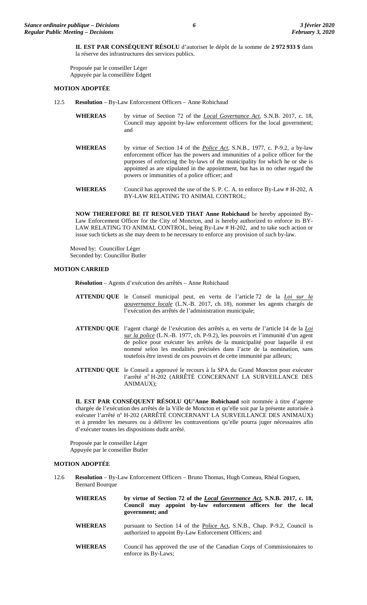**IL EST PAR CONSÉQUENT RÉSOLU** d'autoriser le dépôt de la somme de **2 972 933 \$** dans la réserve des infrastructures des services publics.

Proposée par le conseiller Léger Appuyée par la conseillère Edgett

### **MOTION ADOPTÉE**

- 12.5 **Resolution** By-Law Enforcement Officers Anne Robichaud
	- **WHEREAS** by virtue of Section 72 of the *Local Governance Act*, S.N.B. 2017, c. 18, Council may appoint by-law enforcement officers for the local government; and
	- **WHEREAS** by virtue of Section 14 of the *Police Act*, S.N.B., 1977, c. P-9.2, a by-law enforcement officer has the powers and immunities of a police officer for the purposes of enforcing the by-laws of the municipality for which he or she is appointed as are stipulated in the appointment, but has in no other regard the powers or immunities of a police officer; and
	- **WHEREAS** Council has approved the use of the S. P. C. A. to enforce By-Law # H-202, A BY-LAW RELATING TO ANIMAL CONTROL;

**NOW THEREFORE BE IT RESOLVED THAT Anne Robichaud** be hereby appointed By-Law Enforcement Officer for the City of Moncton, and is hereby authorized to enforce its BY-LAW RELATING TO ANIMAL CONTROL, being By-Law # H-202, and to take such action or issue such tickets as she may deem to be necessary to enforce any provision of such by-law.

Moved by: Councillor Léger Seconded by: Councillor Butler

### **MOTION CARRIED**

**Résolution** – Agents d'exécution des arrêtés – Anne Robichaud

- **ATTENDU QUE** le Conseil municipal peut, en vertu de l'article 72 de la *Loi sur la gouvernance locale* (L.N.-B. 2017, ch. 18), nommer les agents chargés de l'exécution des arrêtés de l'administration municipale;
- **ATTENDU QUE** l'agent chargé de l'exécution des arrêtés a, en vertu de l'article 14 de la *Loi sur la police* (L.N.-B. 1977, ch. P-9.2), les pouvoirs et l'immunité d'un agent de police pour exécuter les arrêtés de la municipalité pour laquelle il est nommé selon les modalités précisées dans l'acte de la nomination, sans toutefois être investi de ces pouvoirs et de cette immunité par ailleurs;
- **ATTENDU QUE** le Conseil a approuvé le recours à la SPA du Grand Moncton pour exécuter l'arrêté nº H-202 (ARRÊTÉ CONCERNANT LA SURVEILLANCE DES ANIMAUX);

**IL EST PAR CONSÉQUENT RÉSOLU QU'Anne Robichaud** soit nommée à titre d'agente chargée de l'exécution des arrêtés de la Ville de Moncton et qu'elle soit par la présente autorisée à exécuter l'arrêté nº H-202 (ARRÊTÉ CONCERNANT LA SURVEILLANCE DES ANIMAUX) et à prendre les mesures ou à délivrer les contraventions qu'elle pourra juger nécessaires afin d'exécuter toutes les dispositions dudit arrêté.

Proposée par le conseiller Léger Appuyée par le conseiller Butler

### **MOTION ADOPTÉE**

- 12.6 **Resolution** By-Law Enforcement Officers Bruno Thomas, Hugh Comeau, Rhéal Goguen, Bernard Bourque
	- **WHEREAS by virtue of Section 72 of the** *Local Governance Act***, S.N.B. 2017, c. 18, Council may appoint by-law enforcement officers for the local government; and WHEREAS** pursuant to Section 14 of the Police Act, S.N.B., Chap. P-9.2, Council is authorized to appoint By-Law Enforcement Officers; and
	- **WHEREAS** Council has approved the use of the Canadian Corps of Commissionaires to enforce its By-Laws;